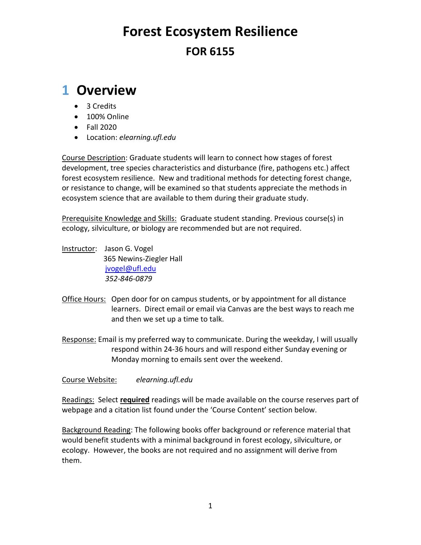# **Forest Ecosystem Resilience FOR 6155**

## **1 Overview**

- 3 Credits
- 100% Online
- Fall 2020
- Location: *elearning.ufl.edu*

Course Description: Graduate students will learn to connect how stages of forest development, tree species characteristics and disturbance (fire, pathogens etc.) affect forest ecosystem resilience. New and traditional methods for detecting forest change, or resistance to change, will be examined so that students appreciate the methods in ecosystem science that are available to them during their graduate study.

Prerequisite Knowledge and Skills: Graduate student standing. Previous course(s) in ecology, silviculture, or biology are recommended but are not required.

- Instructor: Jason G. Vogel 365 Newins-Ziegler Hall [jvogel@ufl.edu](mailto:jvogel@ufl.edu) *352-846-0879*
- Office Hours: Open door for on campus students, or by appointment for all distance learners. Direct email or email via Canvas are the best ways to reach me and then we set up a time to talk.
- Response: Email is my preferred way to communicate. During the weekday, I will usually respond within 24-36 hours and will respond either Sunday evening or Monday morning to emails sent over the weekend.

Course Website: *elearning.ufl.edu*

Readings: Select **required** readings will be made available on the course reserves part of webpage and a citation list found under the 'Course Content' section below.

Background Reading: The following books offer background or reference material that would benefit students with a minimal background in forest ecology, silviculture, or ecology. However, the books are not required and no assignment will derive from them.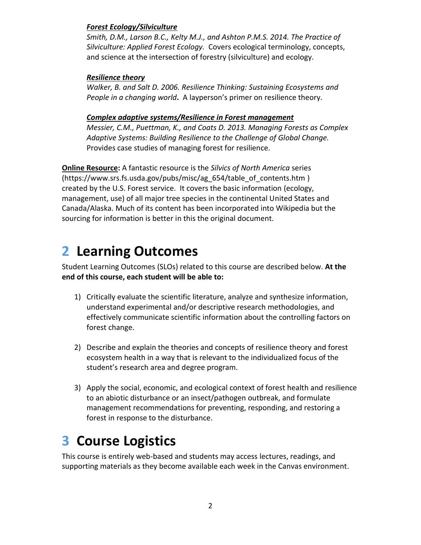#### *Forest Ecology/Silviculture*

*Smith, D.M., Larson B.C., Kelty M.J., and Ashton P.M.S. 2014. The Practice of Silviculture: Applied Forest Ecology.* Covers ecological terminology, concepts, and science at the intersection of forestry (silviculture) and ecology.

#### *Resilience theory*

*Walker, B. and Salt D. 2006. Resilience Thinking: Sustaining Ecosystems and People in a changing world***.** A layperson's primer on resilience theory.

#### *Complex adaptive systems/Resilience in Forest management*

*Messier, C.M., Puettman, K., and Coats D. 2013. Managing Forests as Complex Adaptive Systems: Building Resilience to the Challenge of Global Change.* Provides case studies of managing forest for resilience.

**Online Resource:** A fantastic resource is the *Silvics of North America* series (https://www.srs.fs.usda.gov/pubs/misc/ag\_654/table\_of\_contents.htm ) created by the U.S. Forest service. It covers the basic information (ecology, management, use) of all major tree species in the continental United States and Canada/Alaska. Much of its content has been incorporated into Wikipedia but the sourcing for information is better in this the original document.

## **2 Learning Outcomes**

Student Learning Outcomes (SLOs) related to this course are described below. **At the end of this course, each student will be able to:**

- 1) Critically evaluate the scientific literature, analyze and synthesize information, understand experimental and/or descriptive research methodologies, and effectively communicate scientific information about the controlling factors on forest change.
- 2) Describe and explain the theories and concepts of resilience theory and forest ecosystem health in a way that is relevant to the individualized focus of the student's research area and degree program.
- 3) Apply the social, economic, and ecological context of forest health and resilience to an abiotic disturbance or an insect/pathogen outbreak, and formulate management recommendations for preventing, responding, and restoring a forest in response to the disturbance.

# **3 Course Logistics**

This course is entirely web-based and students may access lectures, readings, and supporting materials as they become available each week in the Canvas environment.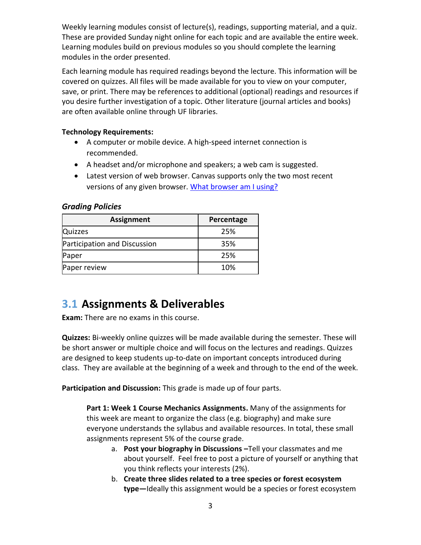Weekly learning modules consist of lecture(s), readings, supporting material, and a quiz. These are provided Sunday night online for each topic and are available the entire week. Learning modules build on previous modules so you should complete the learning modules in the order presented.

Each learning module has required readings beyond the lecture. This information will be covered on quizzes. All files will be made available for you to view on your computer, save, or print. There may be references to additional (optional) readings and resources if you desire further investigation of a topic. Other literature (journal articles and books) are often available online through UF libraries.

#### **Technology Requirements:**

- A computer or mobile device. A high-speed internet connection is recommended.
- A headset and/or microphone and speakers; a web cam is suggested.
- Latest version of web browser. Canvas supports only the two most recent versions of any given browser. [What browser am I using?](http://whatbrowser.org/)

#### *Grading Policies*

| <b>Assignment</b>            | Percentage |
|------------------------------|------------|
| <b>Quizzes</b>               | 25%        |
| Participation and Discussion | 35%        |
| Paper                        | 25%        |
| Paper review                 | 10%        |

### **3.1 Assignments & Deliverables**

**Exam:** There are no exams in this course.

**Quizzes:** Bi-weekly online quizzes will be made available during the semester. These will be short answer or multiple choice and will focus on the lectures and readings. Quizzes are designed to keep students up-to-date on important concepts introduced during class. They are available at the beginning of a week and through to the end of the week.

**Participation and Discussion:** This grade is made up of four parts.

**Part 1: Week 1 Course Mechanics Assignments.** Many of the assignments for this week are meant to organize the class (e.g. biography) and make sure everyone understands the syllabus and available resources. In total, these small assignments represent 5% of the course grade.

- a. **Post your biography in Discussions –**Tell your classmates and me about yourself. Feel free to post a picture of yourself or anything that you think reflects your interests (2%).
- b. **Create three slides related to a tree species or forest ecosystem type—**Ideally this assignment would be a species or forest ecosystem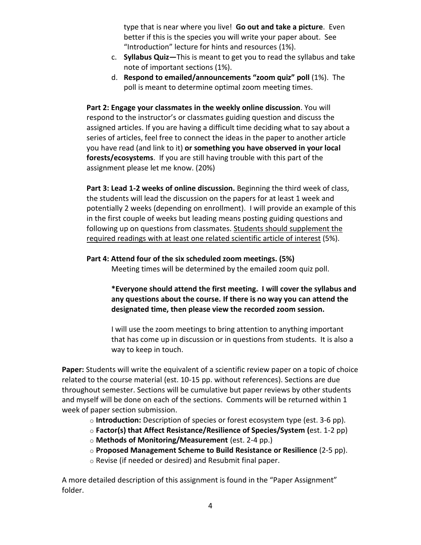type that is near where you live! **Go out and take a picture**. Even better if this is the species you will write your paper about. See "Introduction" lecture for hints and resources (1%).

- c. **Syllabus Quiz—**This is meant to get you to read the syllabus and take note of important sections (1%).
- d. **Respond to emailed/announcements "zoom quiz" poll** (1%). The poll is meant to determine optimal zoom meeting times.

**Part 2: Engage your classmates in the weekly online discussion**. You will respond to the instructor's or classmates guiding question and discuss the assigned articles. If you are having a difficult time deciding what to say about a series of articles, feel free to connect the ideas in the paper to another article you have read (and link to it) **or something you have observed in your local forests/ecosystems**. If you are still having trouble with this part of the assignment please let me know. (20%)

**Part 3: Lead 1-2 weeks of online discussion.** Beginning the third week of class, the students will lead the discussion on the papers for at least 1 week and potentially 2 weeks (depending on enrollment). I will provide an example of this in the first couple of weeks but leading means posting guiding questions and following up on questions from classmates. Students should supplement the required readings with at least one related scientific article of interest (5%).

#### **Part 4: Attend four of the six scheduled zoom meetings. (5%)**

Meeting times will be determined by the emailed zoom quiz poll.

**\*Everyone should attend the first meeting. I will cover the syllabus and any questions about the course. If there is no way you can attend the designated time, then please view the recorded zoom session.** 

I will use the zoom meetings to bring attention to anything important that has come up in discussion or in questions from students. It is also a way to keep in touch.

**Paper:** Students will write the equivalent of a scientific review paper on a topic of choice related to the course material (est. 10-15 pp. without references). Sections are due throughout semester. Sections will be cumulative but paper reviews by other students and myself will be done on each of the sections. Comments will be returned within 1 week of paper section submission.

- o **Introduction:** Description of species or forest ecosystem type (est. 3-6 pp).
- o **Factor(s) that Affect Resistance/Resilience of Species/System (**est. 1-2 pp)
- o **Methods of Monitoring/Measurement** (est. 2-4 pp.)

o **Proposed Management Scheme to Build Resistance or Resilience** (2-5 pp).

o Revise (if needed or desired) and Resubmit final paper.

A more detailed description of this assignment is found in the "Paper Assignment" folder.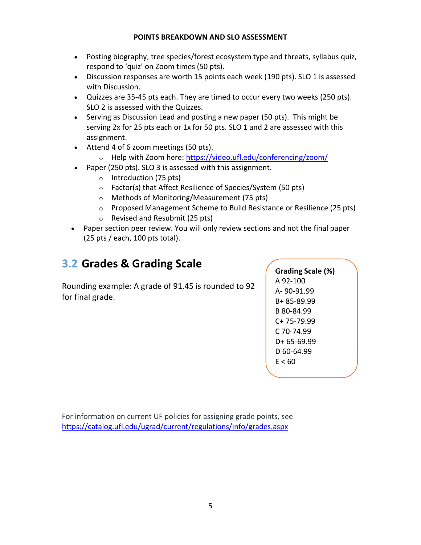#### **POINTS BREAKDOWN AND SLO ASSESSMENT**

- Posting biography, tree species/forest ecosystem type and threats, syllabus quiz, respond to 'quiz' on Zoom times (50 pts).
- Discussion responses are worth 15 points each week (190 pts). SLO 1 is assessed with Discussion.
- Quizzes are 35-45 pts each. They are timed to occur every two weeks (250 pts). SLO 2 is assessed with the Quizzes.
- Serving as Discussion Lead and posting a new paper (50 pts). This might be serving 2x for 25 pts each or 1x for 50 pts. SLO 1 and 2 are assessed with this assignment.
- Attend 4 of 6 zoom meetings (50 pts).
	- o Help with Zoom here:<https://video.ufl.edu/conferencing/zoom/>
- Paper (250 pts). SLO 3 is assessed with this assignment.
	- o Introduction (75 pts)
	- o Factor(s) that Affect Resilience of Species/System (50 pts)
	- o Methods of Monitoring/Measurement (75 pts)
	- o Proposed Management Scheme to Build Resistance or Resilience (25 pts)
	- o Revised and Resubmit (25 pts)
- Paper section peer review. You will only review sections and not the final paper (25 pts / each, 100 pts total).

### **3.2 Grades & Grading Scale**

Rounding example: A grade of 91.45 is rounded to 92 for final grade.

**Grading Scale (%)** A 92-100 A- 90-91.99 B+ 85-89.99 B 80-84.99 C+ 75-79.99 C 70-74.99 D+ 65-69.99 D 60-64.99  $E < 60$ 

For information on current UF policies for assigning grade points, see <https://catalog.ufl.edu/ugrad/current/regulations/info/grades.aspx>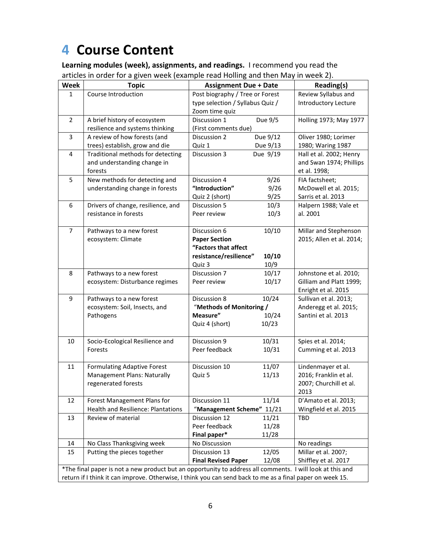# **4 Course Content**

**Learning modules (week), assignments, and readings.** I recommend you read the articles in order for a given week (example read Holling and then May in week 2).

| Week                                                                                                      | <b>Topic</b>                              | <b>Assignment Due + Date</b>     |                        | Reading(s)                  |  |  |
|-----------------------------------------------------------------------------------------------------------|-------------------------------------------|----------------------------------|------------------------|-----------------------------|--|--|
| 1                                                                                                         | Course Introduction                       | Post biography / Tree or Forest  |                        | Review Syllabus and         |  |  |
|                                                                                                           |                                           | type selection / Syllabus Quiz / |                        | <b>Introductory Lecture</b> |  |  |
|                                                                                                           |                                           | Zoom time quiz                   |                        |                             |  |  |
| $\overline{2}$                                                                                            | A brief history of ecosystem              | Discussion 1                     | Holling 1973; May 1977 |                             |  |  |
|                                                                                                           | resilience and systems thinking           | (First comments due)             |                        |                             |  |  |
| 3                                                                                                         | A review of how forests (and              | Discussion 2                     | Due 9/12               | Oliver 1980; Lorimer        |  |  |
|                                                                                                           | trees) establish, grow and die            | Quiz 1                           | Due 9/13               | 1980; Waring 1987           |  |  |
| 4                                                                                                         | Traditional methods for detecting         | Discussion 3                     | Due 9/19               | Hall et al. 2002; Henry     |  |  |
|                                                                                                           | and understanding change in               |                                  |                        | and Swan 1974; Phillips     |  |  |
|                                                                                                           | forests                                   |                                  |                        | et al. 1998;                |  |  |
| 5                                                                                                         | New methods for detecting and             | Discussion 4                     | 9/26                   | FIA factsheet;              |  |  |
|                                                                                                           | understanding change in forests           | "Introduction"                   | 9/26                   | McDowell et al. 2015;       |  |  |
|                                                                                                           |                                           | Quiz 2 (short)                   | 9/25                   | Sarris et al. 2013          |  |  |
| 6                                                                                                         | Drivers of change, resilience, and        | Discussion 5                     | 10/3                   | Halpern 1988; Vale et       |  |  |
|                                                                                                           | resistance in forests                     | Peer review                      | 10/3                   | al. 2001                    |  |  |
| $\overline{7}$                                                                                            | Pathways to a new forest                  | Discussion 6                     | 10/10                  | Millar and Stephenson       |  |  |
|                                                                                                           | ecosystem: Climate                        | <b>Paper Section</b>             |                        | 2015; Allen et al. 2014;    |  |  |
|                                                                                                           |                                           | "Factors that affect             |                        |                             |  |  |
|                                                                                                           |                                           | resistance/resilience"           | 10/10                  |                             |  |  |
|                                                                                                           |                                           | Quiz 3                           | 10/9                   |                             |  |  |
| 8                                                                                                         | Pathways to a new forest                  | Discussion 7                     | 10/17                  | Johnstone et al. 2010;      |  |  |
|                                                                                                           | ecosystem: Disturbance regimes            | Peer review                      | 10/17                  | Gilliam and Platt 1999;     |  |  |
|                                                                                                           |                                           |                                  |                        | Enright et al. 2015         |  |  |
| 9                                                                                                         | Pathways to a new forest                  | 10/24<br>Discussion 8            |                        | Sullivan et al. 2013;       |  |  |
|                                                                                                           | ecosystem: Soil, Insects, and             | "Methods of Monitoring /         |                        | Anderegg et al. 2015;       |  |  |
|                                                                                                           | Pathogens                                 | Measure"                         | 10/24                  | Santini et al. 2013         |  |  |
|                                                                                                           |                                           | Quiz 4 (short)                   | 10/23                  |                             |  |  |
| 10                                                                                                        | Socio-Ecological Resilience and           | Discussion 9                     | 10/31                  | Spies et al. 2014;          |  |  |
|                                                                                                           | Forests                                   | Peer feedback                    | 10/31                  | Cumming et al. 2013         |  |  |
|                                                                                                           |                                           |                                  |                        |                             |  |  |
| 11                                                                                                        | <b>Formulating Adaptive Forest</b>        | Discussion 10                    | 11/07                  | Lindenmayer et al.          |  |  |
|                                                                                                           | <b>Management Plans: Naturally</b>        | Quiz 5                           | 11/13                  | 2016; Franklin et al.       |  |  |
|                                                                                                           | regenerated forests                       |                                  |                        | 2007; Churchill et al.      |  |  |
|                                                                                                           |                                           |                                  |                        | 2013                        |  |  |
| 12                                                                                                        | Forest Management Plans for               | Discussion 11                    | 11/14                  | D'Amato et al. 2013;        |  |  |
|                                                                                                           | <b>Health and Resilience: Plantations</b> | "Management Scheme" 11/21        | Wingfield et al. 2015  |                             |  |  |
| 13                                                                                                        | Review of material                        | Discussion 12                    | 11/21                  | TBD                         |  |  |
|                                                                                                           |                                           | Peer feedback                    | 11/28                  |                             |  |  |
|                                                                                                           |                                           | Final paper*                     | 11/28                  |                             |  |  |
| 14                                                                                                        | No Class Thanksgiving week                | No Discussion                    |                        | No readings                 |  |  |
| 15                                                                                                        | Putting the pieces together               | Discussion 13                    | 12/05                  | Millar et al. 2007;         |  |  |
|                                                                                                           |                                           | <b>Final Revised Paper</b>       | 12/08                  | Shiffley et al. 2017        |  |  |
| *The final paper is not a new product but an opportunity to address all comments. I will look at this and |                                           |                                  |                        |                             |  |  |
| return if I think it can improve. Otherwise, I think you can send back to me as a final paper on week 15. |                                           |                                  |                        |                             |  |  |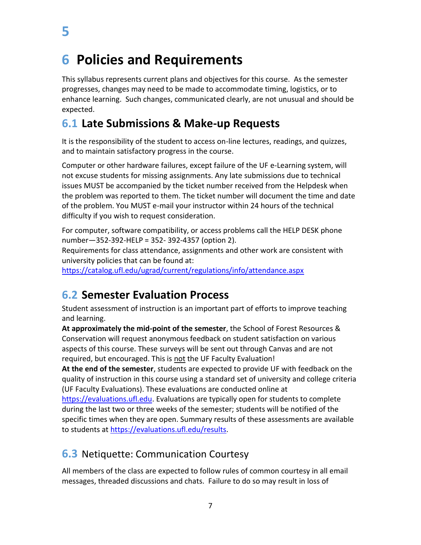## **6 Policies and Requirements**

This syllabus represents current plans and objectives for this course. As the semester progresses, changes may need to be made to accommodate timing, logistics, or to enhance learning. Such changes, communicated clearly, are not unusual and should be expected.

### **6.1 Late Submissions & Make-up Requests**

It is the responsibility of the student to access on-line lectures, readings, and quizzes, and to maintain satisfactory progress in the course.

Computer or other hardware failures, except failure of the UF e-Learning system, will not excuse students for missing assignments. Any late submissions due to technical issues MUST be accompanied by the ticket number received from the Helpdesk when the problem was reported to them. The ticket number will document the time and date of the problem. You MUST e-mail your instructor within 24 hours of the technical difficulty if you wish to request consideration.

For computer, software compatibility, or access problems call the HELP DESK phone number—352-392-HELP = 352- 392-4357 (option 2).

Requirements for class attendance, assignments and other work are consistent with university policies that can be found at:

<https://catalog.ufl.edu/ugrad/current/regulations/info/attendance.aspx>

### **6.2 Semester Evaluation Process**

Student assessment of instruction is an important part of efforts to improve teaching and learning.

**At approximately the mid-point of the semester**, the School of Forest Resources & Conservation will request anonymous feedback on student satisfaction on various aspects of this course. These surveys will be sent out through Canvas and are not required, but encouraged. This is not the UF Faculty Evaluation!

**At the end of the semester**, students are expected to provide UF with feedback on the quality of instruction in this course using a standard set of university and college criteria (UF Faculty Evaluations). These evaluations are conducted online at [https://evaluations.ufl.edu.](https://evaluations.ufl.edu/) Evaluations are typically open for students to complete during the last two or three weeks of the semester; students will be notified of the specific times when they are open. Summary results of these assessments are available

to students at [https://evaluations.ufl.edu/results.](https://evaluations.ufl.edu/results)

### **6.3** Netiquette: Communication Courtesy

All members of the class are expected to follow rules of common courtesy in all email messages, threaded discussions and chats. Failure to do so may result in loss of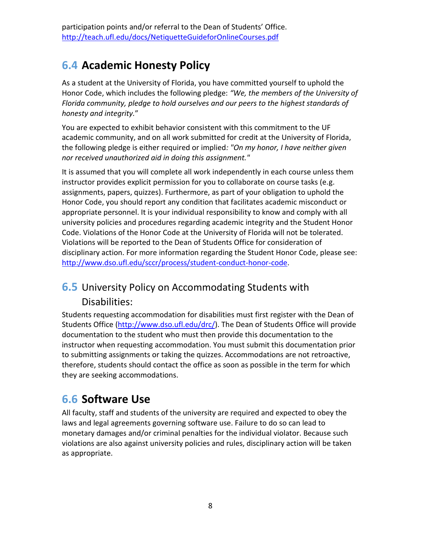participation points and/or referral to the Dean of Students' Office. <http://teach.ufl.edu/docs/NetiquetteGuideforOnlineCourses.pdf>

## **6.4 Academic Honesty Policy**

As a student at the University of Florida, you have committed yourself to uphold the Honor Code, which includes the following pledge: *"We, the members of the University of Florida community, pledge to hold ourselves and our peers to the highest standards of honesty and integrity.*"

You are expected to exhibit behavior consistent with this commitment to the UF academic community, and on all work submitted for credit at the University of Florida, the following pledge is either required or implied*: "On my honor, I have neither given nor received unauthorized aid in doing this assignment."*

It is assumed that you will complete all work independently in each course unless them instructor provides explicit permission for you to collaborate on course tasks (e.g. assignments, papers, quizzes). Furthermore, as part of your obligation to uphold the Honor Code, you should report any condition that facilitates academic misconduct or appropriate personnel. It is your individual responsibility to know and comply with all university policies and procedures regarding academic integrity and the Student Honor Code. Violations of the Honor Code at the University of Florida will not be tolerated. Violations will be reported to the Dean of Students Office for consideration of disciplinary action. For more information regarding the Student Honor Code, please see: [http://www.dso.ufl.edu/sccr/process/student-conduct-honor-code.](http://www.dso.ufl.edu/sccr/process/student-conduct-honor-code)

### **6.5** University Policy on Accommodating Students with Disabilities:

Students requesting accommodation for disabilities must first register with the Dean of Students Office [\(http://www.dso.ufl.edu/drc/\)](http://www.dso.ufl.edu/drc/). The Dean of Students Office will provide documentation to the student who must then provide this documentation to the instructor when requesting accommodation. You must submit this documentation prior to submitting assignments or taking the quizzes. Accommodations are not retroactive, therefore, students should contact the office as soon as possible in the term for which they are seeking accommodations.

### **6.6 Software Use**

All faculty, staff and students of the university are required and expected to obey the laws and legal agreements governing software use. Failure to do so can lead to monetary damages and/or criminal penalties for the individual violator. Because such violations are also against university policies and rules, disciplinary action will be taken as appropriate.